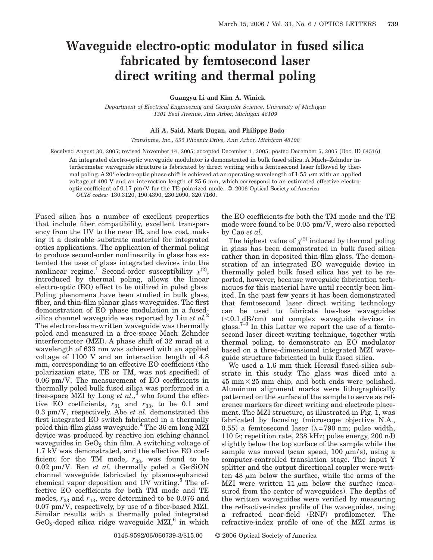## **Waveguide electro-optic modulator in fused silica fabricated by femtosecond laser direct writing and thermal poling**

**Guangyu Li and Kim A. Winick**

*Department of Electrical Engineering and Computer Science, University of Michigan 1301 Beal Avenue, Ann Arbor, Michigan 48109*

## **Ali A. Said, Mark Dugan, and Philippe Bado**

*Translume, Inc., 655 Phoenix Drive, Ann Arbor, Michigan 48108*

Received August 30, 2005; revised November 14, 2005; accepted December 1, 2005; posted December 5, 2005 (Doc. ID 64516)

An integrated electro-optic waveguide modulator is demonstrated in bulk fused silica. A Mach–Zehnder interferometer waveguide structure is fabricated by direct writing with a femtosecond laser followed by thermal poling. A 20 $\degree$  electro-optic phase shift is achieved at an operating wavelength of 1.55  $\mu$ m with an applied voltage of 400 V and an interaction length of 25.6 mm, which correspond to an estimated effective electrooptic coefficient of 0.17 pm/V for the TE-polarized mode. © 2006 Optical Society of America *OCIS codes:* 130.3120, 190.4390, 230.2090, 320.7160.

Fused silica has a number of excellent properties that include fiber compatibility, excellent transparency from the UV to the near IR, and low cost, making it a desirable substrate material for integrated optics applications. The application of thermal poling to produce second-order nonlinearity in glass has extended the uses of glass integrated devices into the nonlinear regime.<sup>1</sup> Second-order susceptibility  $\chi^{(2)}$ , introduced by thermal poling, allows the linear electro-optic (EO) effect to be utilized in poled glass. Poling phenomena have been studied in bulk glass, fiber, and thin-film planar glass waveguides. The first demonstration of EO phase modulation in a fusedsilica channel waveguide was reported by Liu *et al.*<sup>2</sup> The electron-beam-written waveguide was thermally poled and measured in a free-space Mach–Zehnder interferometer (MZI). A phase shift of 32 mrad at a wavelength of 633 nm was achieved with an applied voltage of 1100 V and an interaction length of 4.8 mm, corresponding to an effective EO coefficient (the polarization state, TE or TM, was not specified) of 0.06 pm/V. The measurement of EO coefficients in thermally poled bulk fused silica was performed in a free-space MZI by Long *et al.*,<sup>3</sup> who found the effective EO coefficients,  $r_{31}$  and  $r_{33}$ , to be 0.1 and 0.3 pm/V, respectively. Abe *et al.* demonstrated the first integrated EO switch fabricated in a thermally poled thin-film glass waveguide.4 The 36 cm long MZI device was produced by reactive ion etching channel waveguides in  $GeO<sub>2</sub>$  thin film. A switching voltage of 1.7 kV was demonstrated, and the effective EO coefficient for the TM mode,  $r_{33}$ , was found to be 0.02 pm/V. Ren *et al.* thermally poled a Ge:SiON channel waveguide fabricated by plasma-enhanced chemical vapor deposition and  $UV$  writing.<sup>5</sup> The effective EO coefficients for both TM mode and TE modes,  $r_{33}$  and  $r_{13}$ , were determined to be 0.076 and 0.07 pm/V, respectively, by use of a fiber-based MZI. Similar results with a thermally poled integrated GeO<sub>2</sub>-doped silica ridge waveguide MZI,<sup>6</sup> in which

the EO coefficients for both the TM mode and the TE mode were found to be 0.05 pm/V, were also reported by Cao *et al.*

The highest value of  $\chi^{(2)}$  induced by thermal poling in glass has been demonstrated in bulk fused silica rather than in deposited thin-film glass. The demonstration of an integrated EO waveguide device in thermally poled bulk fused silica has yet to be reported, however, because waveguide fabrication techniques for this material have until recently been limited. In the past few years it has been demonstrated that femtosecond laser direct writing technology can be used to fabricate low-loss waveguides  $(<0.1$   $dB/cm$ ) and complex waveguide devices in glass.<sup>7–9</sup> In this Letter we report the use of a femtosecond laser direct-writing technique, together with thermal poling, to demonstrate an EO modulator based on a three-dimensional integrated MZI waveguide structure fabricated in bulk fused silica.

We used a 1.6 mm thick Herasil fused-silica substrate in this study. The glass was diced into a  $45$  mm $\times$  25 mm chip, and both ends were polished. Aluminum alignment marks were lithographically patterned on the surface of the sample to serve as reference markers for direct writing and electrode placement. The MZI structure, as illustrated in Fig. 1, was fabricated by focusing (microscope objective N.A., 0.55) a femtosecond laser ( $\lambda$ =790 nm; pulse width, 110 fs; repetition rate, 238 kHz; pulse energy, 200 nJ) slightly below the top surface of the sample while the sample was moved (scan speed,  $100 \mu m/s$ ), using a computer-controlled translation stage. The input Y splitter and the output directional coupler were written 48  $\mu$ m below the surface, while the arms of the MZI were written 11  $\mu$ m below the surface (measured from the center of waveguides). The depths of the written waveguides were verified by measuring the refractive-index profile of the waveguides, using a refracted near-field (RNF) profilometer. The refractive-index profile of one of the MZI arms is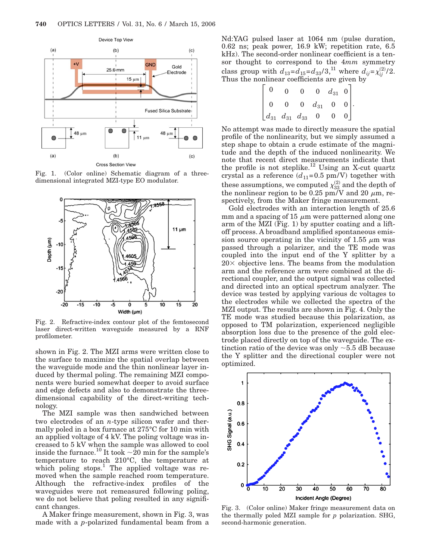

Fig. 1. (Color online) Schematic diagram of a threedimensional integrated MZI-type EO modulator.



Fig. 2. Refractive-index contour plot of the femtosecond laser direct-written waveguide measured by a RNF profilometer.

shown in Fig. 2. The MZI arms were written close to the surface to maximize the spatial overlap between the waveguide mode and the thin nonlinear layer induced by thermal poling. The remaining MZI components were buried somewhat deeper to avoid surface and edge defects and also to demonstrate the threedimensional capability of the direct-writing technology.

The MZI sample was then sandwiched between two electrodes of an *n*-type silicon wafer and thermally poled in a box furnace at 275°C for 10 min with an applied voltage of 4 kV. The poling voltage was increased to 5 kV when the sample was allowed to cool inside the furnace.<sup>10</sup> It took  $\sim 20$  min for the sample's temperature to reach 210°C, the temperature at which poling stops.<sup>1</sup> The applied voltage was removed when the sample reached room temperature. Although the refractive-index profiles of the waveguides were not remeasured following poling, we do not believe that poling resulted in any significant changes.

A Maker fringe measurement, shown in Fig. 3, was made with a *p*-polarized fundamental beam from a Nd:YAG pulsed laser at 1064 nm (pulse duration, 0.62 ns; peak power, 16.9 kW; repetition rate, 6.5 kHz). The second-order nonlinear coefficient is a tensor thought to correspond to the 4*mm* symmetry class group with  $d_{13} = d_{15} = d_{33}/3$ ,<sup>11</sup> where  $d_{ij} = \chi_{ij}^{(2)}/2$ . Thus the nonlinear coefficients are given by

$$
\begin{bmatrix} 0 & 0 & 0 & 0 & d_{31} & 0 \\ 0 & 0 & 0 & d_{31} & 0 & 0 \\ d_{31} & d_{31} & d_{33} & 0 & 0 & 0 \end{bmatrix}.
$$

No attempt was made to directly measure the spatial profile of the nonlinearity, but we simply assumed a step shape to obtain a crude estimate of the magnitude and the depth of the induced nonlinearity. We note that recent direct measurements indicate that the profile is not steplike.<sup>12</sup> Using an X-cut quartz crystal as a reference  $(d_{11}=0.5 \text{ pm/V})$  together with these assumptions, we computed  $\chi_{33}^{(2)}$  and the depth of the nonlinear region to be 0.25 pm/V and 20  $\mu$ m, respectively, from the Maker fringe measurement.

Gold electrodes with an interaction length of 25.6 mm and a spacing of 15  $\mu$ m were patterned along one arm of the MZI (Fig. 1) by sputter coating and a liftoff process. A broadband amplified spontaneous emission source operating in the vicinity of 1.55  $\mu$ m was passed through a polarizer, and the TE mode was coupled into the input end of the Y splitter by a  $20\times$  objective lens. The beams from the modulation arm and the reference arm were combined at the directional coupler, and the output signal was collected and directed into an optical spectrum analyzer. The device was tested by applying various dc voltages to the electrodes while we collected the spectra of the MZI output. The results are shown in Fig. 4. Only the TE mode was studied because this polarization, as opposed to TM polarization, experienced negligible absorption loss due to the presence of the gold electrode placed directly on top of the waveguide. The extinction ratio of the device was only  $\sim$  5.5 dB because the Y splitter and the directional coupler were not optimized.



Fig. 3. (Color online) Maker fringe measurement data on the thermally poled MZI sample for *p* polarization. SHG, second-harmonic generation.